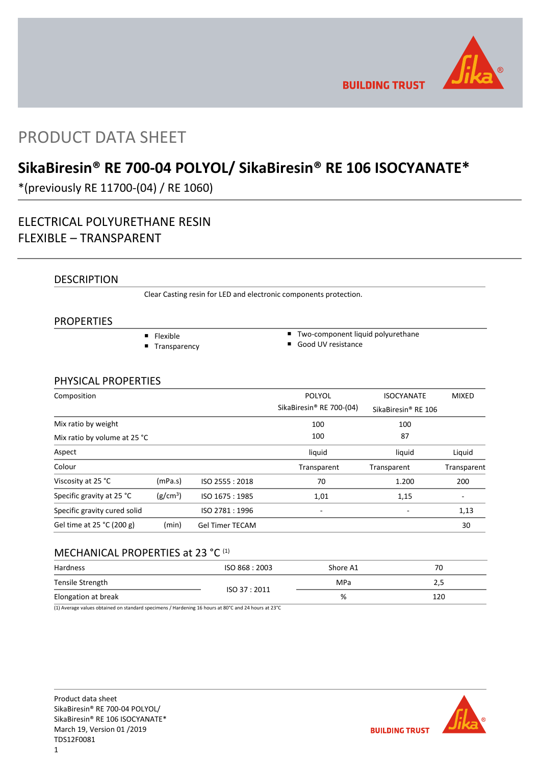

**BUILDING TRUST** 

# PRODUCT DATA SHEET

# **SikaBiresin® RE 700-04 POLYOL/ SikaBiresin® RE 106 ISOCYANATE\***

\*(previously RE 11700-(04) / RE 1060)

## ELECTRICAL POLYURETHANE RESIN FLEXIBLE – TRANSPARENT

## DESCRIPTION

Clear Casting resin for LED and electronic components protection.

## PROPERTIES

- **Flexible**
- **Transparency**
- Two-component liquid polyurethane
- Good UV resistance

## PHYSICAL PROPERTIES

| Composition                  |                      |                        | <b>POLYOL</b><br>SikaBiresin <sup>®</sup> RE 700-(04) | <b>ISOCYANATE</b><br>SikaBiresin® RE 106 | <b>MIXED</b> |
|------------------------------|----------------------|------------------------|-------------------------------------------------------|------------------------------------------|--------------|
| Mix ratio by weight          |                      |                        | 100                                                   | 100                                      |              |
| Mix ratio by volume at 25 °C |                      |                        | 100                                                   | 87                                       |              |
| Aspect                       |                      |                        | liquid                                                | liquid                                   | Liquid       |
| Colour                       |                      |                        | Transparent                                           | Transparent                              | Transparent  |
| Viscosity at 25 °C           | (mPa.s)              | ISO 2555: 2018         | 70                                                    | 1.200                                    | 200          |
| Specific gravity at 25 °C    | (g/cm <sup>3</sup> ) | ISO 1675 : 1985        | 1,01                                                  | 1,15                                     |              |
| Specific gravity cured solid |                      | ISO 2781:1996          |                                                       |                                          | 1,13         |
| Gel time at 25 °C (200 g)    | (min)                | <b>Gel Timer TECAM</b> |                                                       |                                          | 30           |

## MECHANICAL PROPERTIES at 23 °C<sup>(1)</sup>

| Hardness            | ISO 868: 2003 | Shore A1   | 70  |
|---------------------|---------------|------------|-----|
| Tensile Strength    |               | <b>MPa</b> | 2,5 |
| Elongation at break | ISO 37:2011   | %          | 120 |

(1) Average values obtained on standard specimens / Hardening 16 hours at 80°C and 24 hours at 23°C

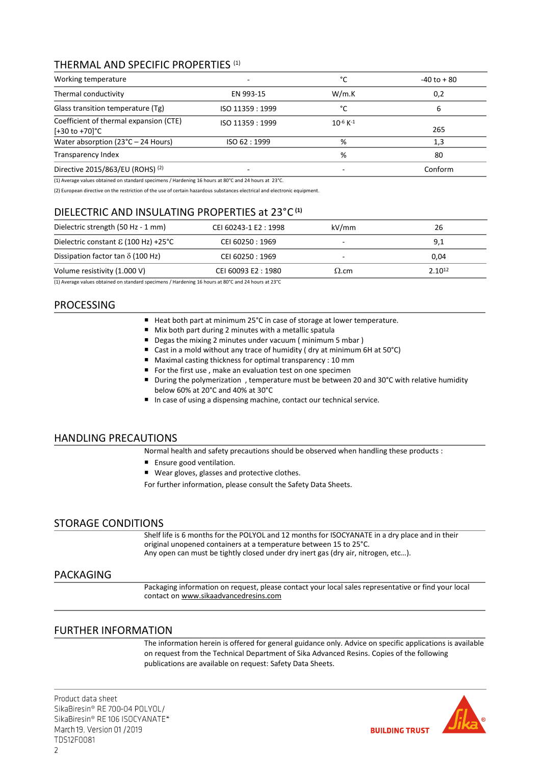## THERMAL AND SPECIFIC PROPERTIES (1)

| Working temperature                                                  | $\overline{ }$   | °C                        | $-40$ to $+80$ |
|----------------------------------------------------------------------|------------------|---------------------------|----------------|
| Thermal conductivity                                                 | EN 993-15        | W/m.K                     | 0,2            |
| Glass transition temperature (Tg)                                    | ISO 11359 : 1999 | °C                        | 6              |
| Coefficient of thermal expansion (CTE)<br>$[-30 \text{ to } +70]$ °C | ISO 11359 : 1999 | $10^{-6}$ K <sup>-1</sup> | 265            |
| Water absorption ( $23^{\circ}$ C – 24 Hours)                        | ISO 62:1999      | %                         | 1,3            |
| Transparency Index                                                   |                  | %                         | 80             |
| Directive 2015/863/EU (ROHS) <sup>(2)</sup>                          |                  |                           | Conform        |

(1) Average values obtained on standard specimens / Hardening 16 hours at 80°C and 24 hours at 23°C.

(2) European directive on the restriction of the use of certain hazardous substances electrical and electronic equipment.

## DIELECTRIC AND INSULATING PROPERTIES at 23°C **(1)**

| Dielectric strength (50 Hz - 1 mm)            | CEI 60243-1 E2: 1998 | kV/mm        | 26          |
|-----------------------------------------------|----------------------|--------------|-------------|
| Dielectric constant $\epsilon$ (100 Hz) +25°C | CEI 60250 : 1969     |              | 9,1         |
| Dissipation factor tan $\delta$ (100 Hz)      | CEI 60250 : 1969     |              | 0,04        |
| Volume resistivity (1.000 V)                  | CEI 60093 E2:1980    | $\Omega$ .cm | $2.10^{12}$ |
| $\cdots$<br>.                                 | .                    |              |             |

(1) Average values obtained on standard specimens / Hardening 16 hours at 80°C and 24 hours at 23°C

## PROCESSING

- Heat both part at minimum 25°C in case of storage at lower temperature.
- Mix both part during 2 minutes with a metallic spatula
- Degas the mixing 2 minutes under vacuum (minimum 5 mbar)
- Cast in a mold without any trace of humidity (dry at minimum 6H at 50°C)
- Maximal casting thickness for optimal transparency : 10 mm
- For the first use, make an evaluation test on one specimen
- During the polymerization, temperature must be between 20 and 30°C with relative humidity below 60% at 20°C and 40% at 30°C
- In case of using a dispensing machine, contact our technical service.

## HANDLING PRECAUTIONS

Normal health and safety precautions should be observed when handling these products :

- **Ensure good ventilation.**
- Wear gloves, glasses and protective clothes.

For further information, please consult the Safety Data Sheets.

## STORAGE CONDITIONS

Shelf life is 6 months for the POLYOL and 12 months for ISOCYANATE in a dry place and in their original unopened containers at a temperature between 15 to 25°C. Any open can must be tightly closed under dry inert gas (dry air, nitrogen, etc…).

## PACKAGING

Packaging information on request, please contact your local sales representative or find your local contact on [www.sikaadvancedresins.com](http://www.sikaadvancedresins.com/)

## FURTHER INFORMATION

The information herein is offered for general guidance only. Advice on specific applications is available on request from the Technical Department of Sika Advanced Resins. Copies of the following publications are available on request: Safety Data Sheets.